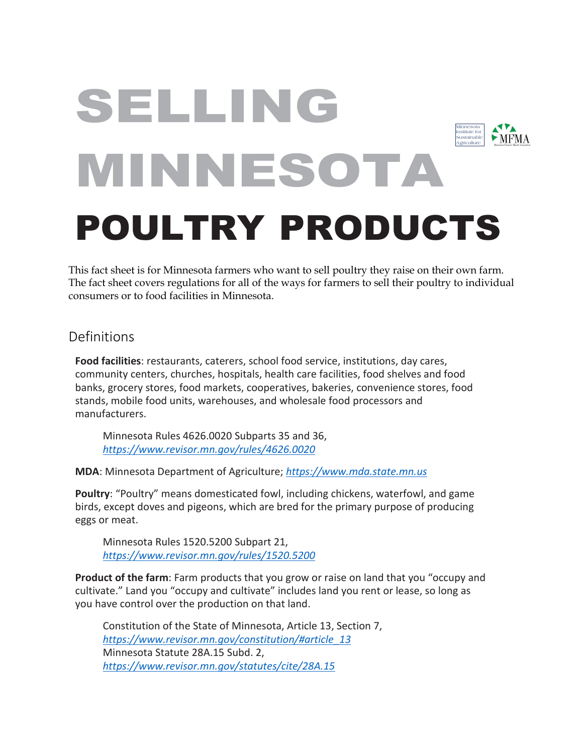# SELLING Minnesota Institute for  $\blacktriangleright$  MFMA Sustainable AgricultureMINNESOTA POULTRY PRODUCTS

This fact sheet is for Minnesota farmers who want to sell poultry they raise on their own farm. The fact sheet covers regulations for all of the ways for farmers to sell their poultry to individual consumers or to food facilities in Minnesota.

### Definitions

**Food facilities**: restaurants, caterers, school food service, institutions, day cares, community centers, churches, hospitals, health care facilities, food shelves and food banks, grocery stores, food markets, cooperatives, bakeries, convenience stores, food stands, mobile food units, warehouses, and wholesale food processors and manufacturers.

Minnesota Rules 4626.0020 Subparts 35 and 36, *[https://www.revisor.mn.gov/rules/4626.0020](https://www.revisor.mn.gov/rules/4626.0020/)*

**MDA**: Minnesota Department of Agriculture; *[https://www.mda.state.mn.us](https://www.mda.state.mn.us/)*

**Poultry**: "Poultry" means domesticated fowl, including chickens, waterfowl, and game birds, except doves and pigeons, which are bred for the primary purpose of producing eggs or meat.

Minnesota Rules 1520.5200 Subpart 21, *<https://www.revisor.mn.gov/rules/1520.5200>*

**Product of the farm**: Farm products that you grow or raise on land that you "occupy and cultivate." Land you "occupy and cultivate" includes land you rent or lease, so long as you have control over the production on that land.

Constitution of the State of Minnesota, Article 13, Section 7, *[https://www.revisor.mn.gov/constitution/#article\\_13](https://www.revisor.mn.gov/constitution/#article_13)* Minnesota Statute 28A.15 Subd. 2, *<https://www.revisor.mn.gov/statutes/cite/28A.15>*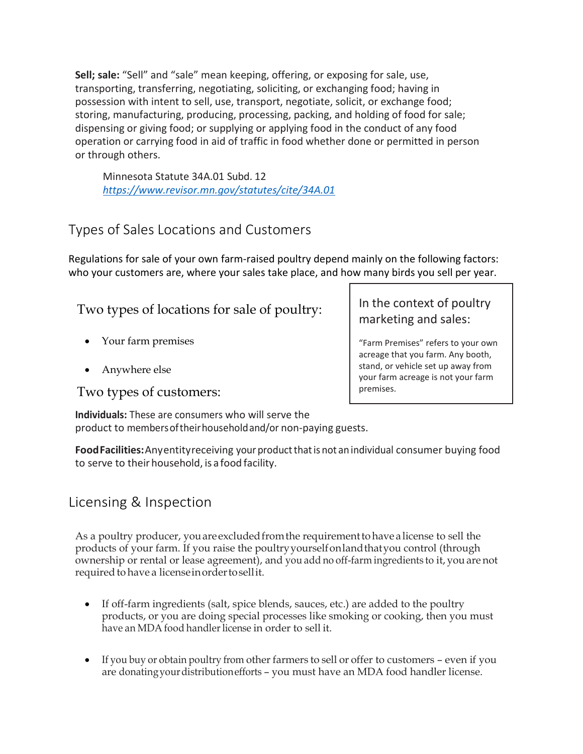**Sell; sale:** "Sell" and "sale" mean keeping, offering, or exposing for sale, use, transporting, transferring, negotiating, soliciting, or exchanging food; having in possession with intent to sell, use, transport, negotiate, solicit, or exchange food; storing, manufacturing, producing, processing, packing, and holding of food for sale; dispensing or giving food; or supplying or applying food in the conduct of any food operation or carrying food in aid of traffic in food whether done or permitted in person or through others.

Minnesota Statute 34A.01 Subd. 12 *<https://www.revisor.mn.gov/statutes/cite/34A.01>*

# Types of Sales Locations and Customers

Regulations for sale of your own farm-raised poultry depend mainly on the following factors: who your customers are, where your sales take place, and how many birds you sell per year.

Two types of locations for sale of poultry:

- Your farm premises
- Anywhere else

Two types of customers:

In the context of poultry marketing and sales:

"Farm Premises" refers to your own acreage that you farm. Any booth, stand, or vehicle set up away from your farm acreage is not your farm premises.

**Individuals:** These are consumers who will serve the product to membersoftheirhouseholdand/or non-paying guests.

Food Facilities: Any entity receiving your product that is not an individual consumer buying food to serve to their household, is a food facility.

# Licensing & Inspection

As a poultry producer, youare excludedfromthe requirement to have a license to sell the products of your farm. If you raise the poultry yourselfon land thatyou control (through ownership or rental or lease agreement), and you add no off-farm ingredients to it, youare not required to have a licenseinorder to sell it.

- If off-farm ingredients (salt, spice blends, sauces, etc.) are added to the poultry products, or you are doing special processes like smoking or cooking, then you must have an MDA food handler license in order to sell it.
- If you buy or obtain poultry from other farmers to sell or offer to customers even if you are donatingyourdistributionefforts – you must have an MDA food handler license.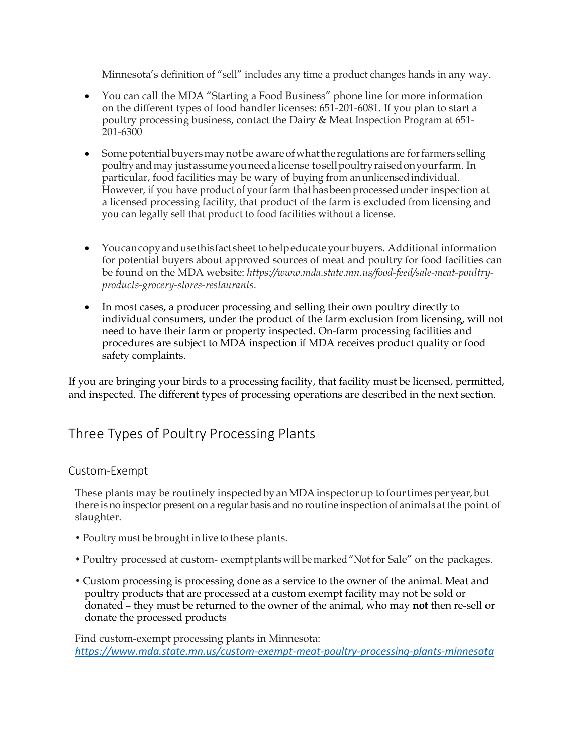Minnesota's definition of "sell" includes any time a product changes hands in any way.

- You can call the MDA "Starting a Food Business" phone line for more information on the different types of food handler licenses: 651-201-6081. If you plan to start a poultry processing business, contact the Dairy & Meat Inspection Program at 651- 201-6300
- Some potential buyers may not be aware of what the regulations are for farmers selling poultryand may just assume youneed a license to sellpoultryraisedonyour farm. In particular, food facilities may be wary of buying from an unlicensedindividual. However, if you have product of your farm that has been processed under inspection at a licensed processing facility, that product of the farm is excluded from licensing and you can legally sell that product to food facilities without a license.
- You can copy and use this factsheet to help educate yourbuyers. Additional information for potential buyers about approved sources of meat and poultry for food facilities can be found on the MDA website: *https://www.mda.state.mn.us/food-feed/sale-meat-poultryproducts-grocery-stores-restaurants*.
- In most cases, a producer processing and selling their own poultry directly to individual consumers, under the product of the farm exclusion from licensing, will not need to have their farm or property inspected. On-farm processing facilities and procedures are subject to MDA inspection if MDA receives product quality or food safety complaints.

If you are bringing your birds to a processing facility, that facility must be licensed, permitted, and inspected. The different types of processing operations are described in the next section.

### Three Types of Poultry Processing Plants

### Custom-Exempt

These plants may be routinely inspected by an MDA inspector up to four times per year, but there isno inspector present on a regular basis and no routineinspectionofanimals at the point of slaughter.

- Poultry must be brought in live to these plants.
- Poultry processed at custom- exempt plants will be marked"Not for Sale" on the packages.
- Custom processing is processing done as a service to the owner of the animal. Meat and poultry products that are processed at a custom exempt facility may not be sold or donated – they must be returned to the owner of the animal, who may **not** then re-sell or donate the processed products

Find custom-exempt processing plants in Minnesota: *<https://www.mda.state.mn.us/custom-exempt-meat-poultry-processing-plants-minnesota>*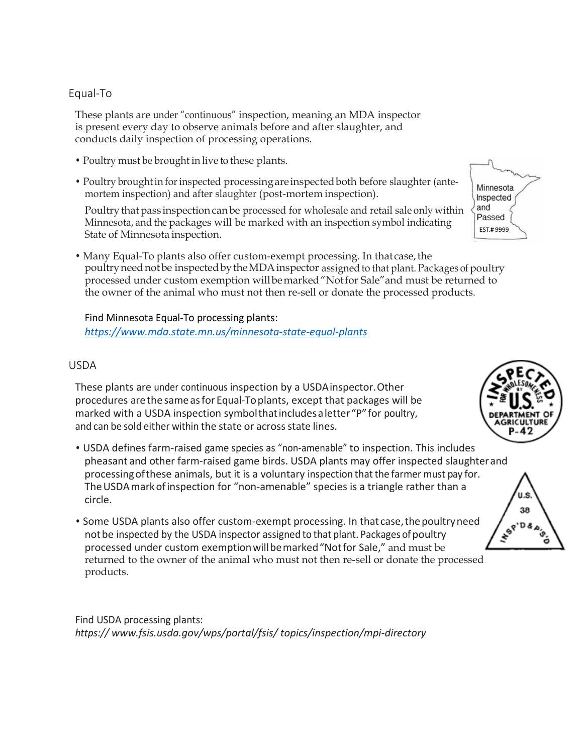### Equal-To

These plants are under "continuous" inspection, meaning an MDA inspector is present every day to observe animals before and after slaughter, and conducts daily inspection of processing operations.

- Poultry must be brought in live to these plants.
- Poultry broughtin forinspected processing areinspectedboth before slaughter (antemortem inspection) and after slaughter (post-mortem inspection).

Poultry that pass inspection can be processed for wholesale and retail sale only within Minnesota, and the packages will be marked with an inspection symbol indicating State of Minnesota inspection.

• Many Equal-To plants also offer custom-exempt processing. In that case, the poultryneednotbe inspectedby the MDA inspector assigned to that plant. Packages of poultry processed under custom exemption willbemarked"Notfor Sale"and must be returned to the owner of the animal who must not then re-sell or donate the processed products.

Find Minnesota Equal-To processing plants: *<https://www.mda.state.mn.us/minnesota-state-equal-plants>*

#### USDA

These plants are under continuous inspection by a USDAinspector.Other procedures are the same as for Equal-To plants, except that packages will be marked with a USDA inspection symbolthat includes a letter "P" for poultry, and can be sold either within the state or across state lines.

- USDA defines farm-raised game species as "non-amenable" to inspection. This includes pheasant and other farm-raised game birds. USDA plants may offer inspected slaughterand processingofthese animals, but it is a voluntary inspection that the farmer must pay for. TheUSDAmarkofinspection for "non-amenable" species is a triangle rather than a circle.
- Some USDA plants also offer custom-exempt processing. In that case, the poultry need notbe inspected by the USDA inspector assigned to that plant. Packages of poultry processed under custom exemptionwillbemarked"Notfor Sale," and must be returned to the owner of the animal who must not then re-sell or donate the processed products.

Find USDA processing plants: *https:// [www.fsis.usda.gov/wps/portal/fsis/](http://www.fsis.usda.gov/wps/portal/fsis/) topics/inspection/mpi-directory* 





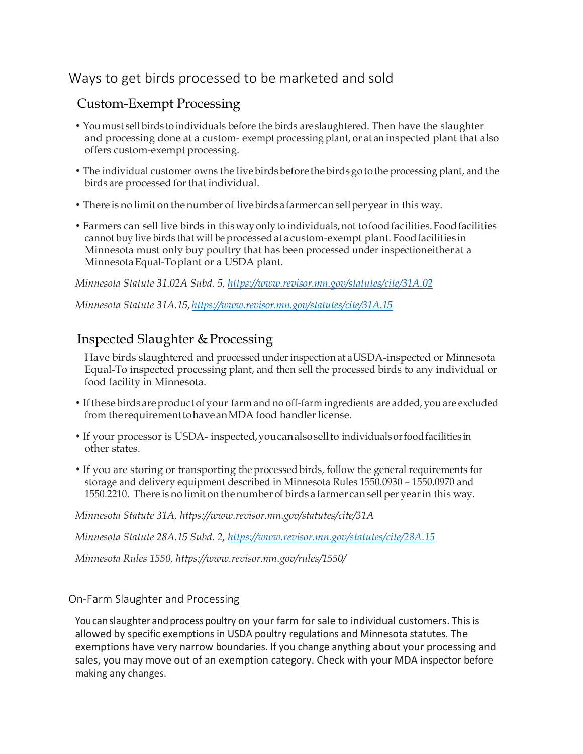# Ways to get birds processed to be marketed and sold

### Custom-Exempt Processing

- You must sell birds to individuals before the birds are slaughtered. Then have the slaughter and processing done at a custom- exempt processing plant, or at an inspected plant that also offers custom-exempt processing.
- The individual customer owns the live birds before the birds go to the processing plant, and the birds are processed for that individual.
- There is no limit on thenumber of livebirds a farmer can sellperyear in this way.
- Farmers can sell live birds in this way only to individuals, not to food facilities. Food facilities cannot buy live birds that will be processed at a custom-exempt plant. Foodfacilitiesin Minnesota must only buy poultry that has been processed under inspectioneither at a Minnesota Equal-Toplant or a USDA plant.

*Minnesota Statute 31.02A Subd. 5,<https://www.revisor.mn.gov/statutes/cite/31A.02>*

*Minnesota Statute 31A.15, <https://www.revisor.mn.gov/statutes/cite/31A.15>*

### Inspected Slaughter & Processing

Have birds slaughtered and processed underinspection at a USDA-inspected or Minnesota Equal-To inspected processing plant, and then sell the processed birds to any individual or food facility in Minnesota.

- If these birds are product of your farm and no off-farm ingredients are added, you are excluded from the requirement to have an MDA food handler license.
- If your processor is USDA- inspected, you can alsosellto individualsorfoodfacilities in other states.
- If you are storing or transporting the processed birds, follow the general requirements for storage and delivery equipment described in Minnesota Rules 1550.0930 – 1550.0970 and 1550.2210. There is no limit on the number of birds a farmer can sell per year in this way.

*Minnesota Statute 31A, https://www.revisor.mn.gov/statutes/cite/31A*

*Minnesota Statute 28A.15 Subd. 2,<https://www.revisor.mn.gov/statutes/cite/28A.15>*

*Minnesota Rules 1550, https://www.revisor.mn.gov/rules/1550/* 

### On-Farm Slaughter and Processing

You can slaughter and process poultry on your farm for sale to individual customers. This is allowed by specific exemptions in USDA poultry regulations and Minnesota statutes. The exemptions have very narrow boundaries. If you change anything about your processing and sales, you may move out of an exemption category. Check with your MDA inspector before making any changes.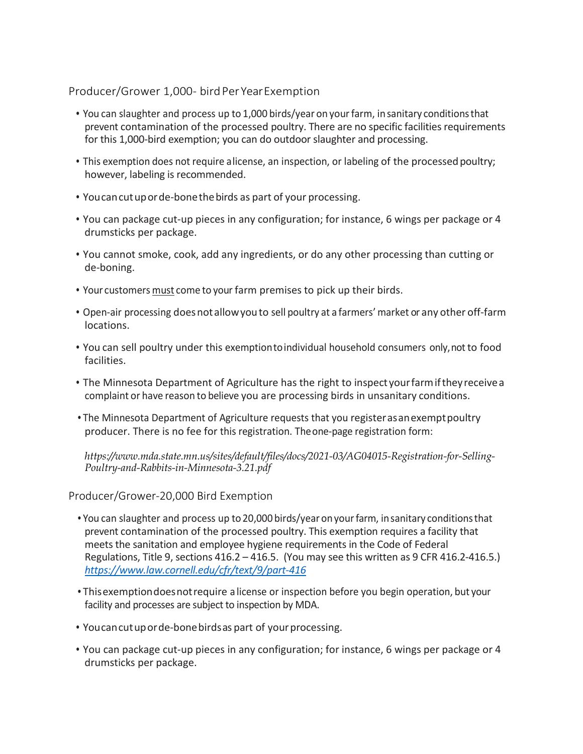#### Producer/Grower 1,000- bird Per Year Exemption

- You can slaughter and process up to 1,000 birds/year on yourfarm, insanitary conditionsthat prevent contamination of the processed poultry. There are no specific facilities requirements for this 1,000-bird exemption; you can do outdoor slaughter and processing.
- This exemption does not require alicense, an inspection, or labeling of the processed poultry; however, labeling is recommended.
- Youcancutuporde-bonethebirds as part of your processing.
- You can package cut-up pieces in any configuration; for instance, 6 wings per package or 4 drumsticks per package.
- You cannot smoke, cook, add any ingredients, or do any other processing than cutting or de-boning.
- Your customers must come to your farm premises to pick up their birds.
- Open-air processing doesnotallowyouto sell poultry at a farmers'market or any other off-farm locations.
- You can sell poultry under this exemptiontoindividual household consumers only,not to food facilities.
- The Minnesota Department of Agriculture has the right to inspect yourfarmiftheyreceivea complaint or have reason to believe you are processing birds in unsanitary conditions.
- •The Minnesota Department of Agriculture requests that you registerasanexemptpoultry producer. There is no fee for this registration. Theone-page registration form:

*https://www.mda.state.mn.us/sites/default/files/docs/2021-03/AG04015-Registration-for-Selling-Poultry-and-Rabbits-in-Minnesota-3.21.pdf*

Producer/Grower-20,000 Bird Exemption

- •You can slaughter and process up to 20,000 birds/year onyourfarm, insanitary conditionsthat prevent contamination of the processed poultry. This exemption requires a facility that meets the sanitation and employee hygiene requirements in the Code of Federal Regulations, Title 9, sections 416.2 – 416.5. (You may see this written as 9 CFR 416.2-416.5.) *<https://www.law.cornell.edu/cfr/text/9/part-416>*
- •Thisexemptiondoesnotrequire a license or inspection before you begin operation, but your facility and processes are subject to inspection by MDA.
- Youcancutuporde-bonebirdsas part of yourprocessing.
- You can package cut-up pieces in any configuration; for instance, 6 wings per package or 4 drumsticks per package.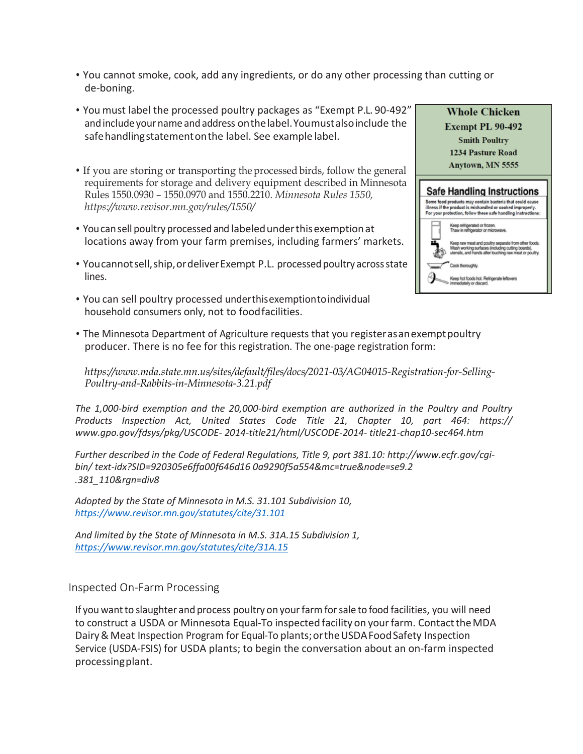- You cannot smoke, cook, add any ingredients, or do any other processing than cutting or de-boning.
- You must label the processed poultry packages as "Exempt P.L. 90-492" and include your name and address on the label. You must also include the safehandlingstatementonthe label. See example label.
- If you are storing or transporting the processed birds, follow the general requirements for storage and delivery equipment described in Minnesota Rules 1550.0930 – 1550.0970 and 1550.2210. *Minnesota Rules 1550, https://www.revisor.mn.gov/rules/1550/*
- Youcansell poultry processed and labeledunderthisexemptionat locations away from your farm premises, including farmers' markets.
- Youcannotsell,ship,ordeliverExempt P.L. processed poultry acrossstate lines.
- You can sell poultry processed underthisexemptiontoindividual household consumers only, not to foodfacilities.



• The Minnesota Department of Agriculture requests that you registerasanexemptpoultry producer. There is no fee for this registration. The one-page registration form:

*https://www.mda.state.mn.us/sites/default/files/docs/2021-03/AG04015-Registration-for-Selling-Poultry-and-Rabbits-in-Minnesota-3.21.pdf*

*The 1,000-bird exemption and the 20,000-bird exemption are authorized in the Poultry and Poultry Products Inspection Act, United States Code Title 21, Chapter 10, part 464: https:// [www.gpo.gov/fdsys/pkg/USCODE-](http://www.gpo.gov/fdsys/pkg/USCODE-) 2014-title21/html/USCODE-2014- title21-chap10-sec464.htm*

*Further described in the Code of Federal Regulations, Title 9, part 381.10: [http://www.ecfr.gov/cgi](http://www.ecfr.gov/cgi-bin/)[bin/](http://www.ecfr.gov/cgi-bin/) text-idx?SID=920305e6ffa00f646d16 0a9290f5a554&mc=true&node=se9.2 .381\_110&rgn=div8*

*Adopted by the State of Minnesota in M.S. 31.101 Subdivision 10, <https://www.revisor.mn.gov/statutes/cite/31.101>*

*And limited by the State of Minnesota in M.S. 31A.15 Subdivision 1, <https://www.revisor.mn.gov/statutes/cite/31A.15>*

#### Inspected On-Farm Processing

If you wantto slaughter and process poultry on yourfarmforsale to food facilities, you will need to construct a USDA or Minnesota Equal-To inspected facility on your farm. Contact the MDA Dairy & Meat Inspection Program for Equal-To plants; or the USDA Food Safety Inspection Service (USDA-FSIS) for USDA plants; to begin the conversation about an on-farm inspected processingplant.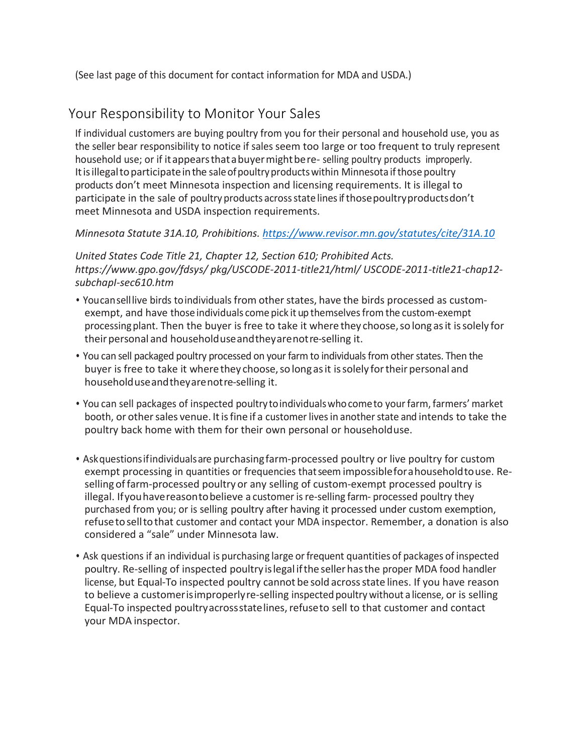(See last page of this document for contact information for MDA and USDA.)

## Your Responsibility to Monitor Your Sales

If individual customers are buying poultry from you for their personal and household use, you as the seller bear responsibility to notice if sales seem too large or too frequent to truly represent household use; or if it appears that a buyer might be re-selling poultry products improperly. It is illegal to participate in the sale of poultry products within Minnesota if those poultry products don't meet Minnesota inspection and licensing requirements. It is illegal to participate in the sale of poultry products acrossstate linesif thosepoultryproductsdon't meet Minnesota and USDA inspection requirements.

### *Minnesota Statute 31A.10, Prohibitions.<https://www.revisor.mn.gov/statutes/cite/31A.10>*

*United States Code Title 21, Chapter 12, Section 610; Prohibited Acts. [https://www.gpo.gov/fdsys/](http://www.gpo.gov/fdsys/) pkg/USCODE-2011-title21/html/ USCODE-2011-title21-chap12 subchapI-sec610.htm*

- Youcanselllive birds to individuals from other states, have the birds processed as customexempt, and have those individuals come pick it up themselvesfrom the custom-exempt processingplant. Then the buyer is free to take it where they choose,so long asit issolely for their personal and householduse and they are not re-selling it.
- You can sell packaged poultry processed on your farm to individuals from other states. Then the buyer is free to take it where they choose, so long as it is solely for their personal and householduseandtheyarenotre-selling it.
- You can sell packages of inspected poultrytoindividualswhocometo your farm, farmers' market booth, or other sales venue. It is fine if a customer lives in another state and intends to take the poultry back home with them for their own personal or householduse.
- Askquestionsifindividualsare purchasingfarm-processed poultry or live poultry for custom exempt processing in quantities or frequencies thatseem impossiblefor a householdtouse. Reselling offarm-processed poultry or any selling of custom-exempt processed poultry is illegal. Ifyouhavereasontobelieve a customer isre-selling farm- processed poultry they purchased from you; or is selling poultry after having it processed under custom exemption, refusetoselltothat customer and contact your MDA inspector. Remember, a donation is also considered a "sale" under Minnesota law.
- Ask questions if an individual is purchasing large or frequent quantities of packages of inspected poultry. Re-selling of inspected poultry islegal ifthe sellerhasthe proper MDA food handler license, but Equal-To inspected poultry cannot be sold acrossstate lines. If you have reason to believe a customerisimproperlyre-selling inspected poultry without a license, or is selling Equal-To inspected poultryacrossstatelines, refuseto sell to that customer and contact your MDA inspector.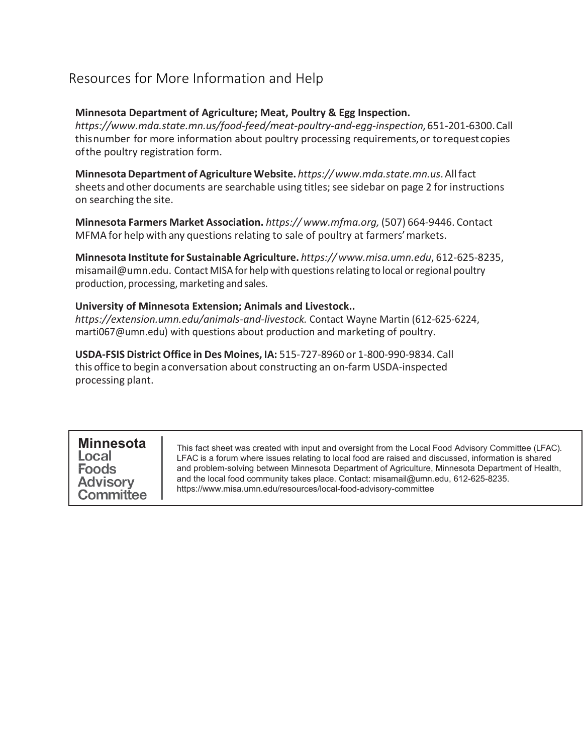# Resources for More Information and Help

#### **Minnesota Department of Agriculture; Meat, Poultry & Egg Inspection.**

*https://www.mda.state.mn.us/food-feed/meat-poultry-and-egg-inspection,*651-201-6300.Call thisnumber for more information about poultry processing requirements,or torequestcopies ofthe poultry registration form.

**MinnesotaDepartment of Agriculture Website.** *https:/[/www.mda.state.mn.us](http://www.mda.state.mn.us/)*.Allfact sheets and other documents are searchable using titles; see sidebar on page 2 for instructions on searching the site.

**Minnesota Farmers Market Association.** *https:// [www.mfma.org,](http://www.mfma.org/)* (507) 664-9446. Contact MFMA for help with any questions relating to sale of poultry at farmers'markets.

**Minnesota Institute for Sustainable Agriculture.** *https:// [www.misa.umn.edu](http://www.misa.umn.edu/)*, 612-625-8235, [misamail@umn.edu.](mailto:misamail@umn.edu) Contact MISA for help with questions relating to local or regional poultry production, processing, marketing and sales.

#### **University of Minnesota Extension; Animals and Livestock..**

*https://extension.umn.edu/animals-and-livestock.* Contact Wayne Martin (612-625-6224, marti067@umn.edu) with questions about production and marketing of poultry.

**USDA-FSIS District Office in Des Moines, IA:** 515-727-8960 or 1-800-990-9834. Call this office to begin a conversation about constructing an on-farm USDA-inspected processing plant.

### **MinnesotaFoods Advisory** Committee

This fact sheet was created with input and oversight from the Local Food Advisory Committee (LFAC). LFAC is a forum where issues relating to local food are raised and discussed, information is shared and problem-solving between Minnesota Department of Agriculture, Minnesota Department of Health, and the local food community takes place. Contact: [misamail@umn.edu, 6](mailto:misamail@umn.edu)12-625-8235. [https://www.misa.umn.edu/re](http://www.misa.umn.edu/resources/local-food-advisory-committee)sou[rces/local-food-advisory-committee](http://www.misa.umn.edu/resources/local-food-advisory-committee)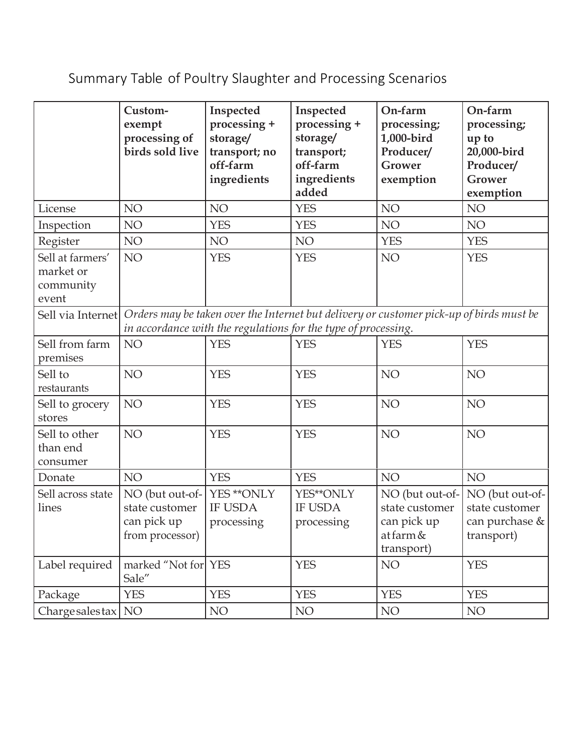# Summary Table of Poultry Slaughter and Processing Scenarios

|                                                     | Custom-<br>exempt<br>processing of<br>birds sold live                                                                                                                       | Inspected<br>processing +<br>storage/<br>transport; no<br>off-farm<br>ingredients | Inspected<br>processing +<br>storage/<br>transport;<br>off-farm<br>ingredients<br>added | On-farm<br>processing;<br>1,000-bird<br>Producer/<br>Grower<br>exemption    | On-farm<br>processing;<br>up to<br>20,000-bird<br>Producer/<br><b>Grower</b><br>exemption |  |  |  |
|-----------------------------------------------------|-----------------------------------------------------------------------------------------------------------------------------------------------------------------------------|-----------------------------------------------------------------------------------|-----------------------------------------------------------------------------------------|-----------------------------------------------------------------------------|-------------------------------------------------------------------------------------------|--|--|--|
| License                                             | NO                                                                                                                                                                          | NO                                                                                | <b>YES</b>                                                                              | NO                                                                          | NO                                                                                        |  |  |  |
| Inspection                                          | NO                                                                                                                                                                          | <b>YES</b>                                                                        | <b>YES</b>                                                                              | NO                                                                          | NO                                                                                        |  |  |  |
| Register                                            | NO                                                                                                                                                                          | NO                                                                                | NO                                                                                      | <b>YES</b>                                                                  | <b>YES</b>                                                                                |  |  |  |
| Sell at farmers'<br>market or<br>community<br>event | NO                                                                                                                                                                          | <b>YES</b>                                                                        | <b>YES</b>                                                                              | NO <sub>1</sub>                                                             | <b>YES</b>                                                                                |  |  |  |
|                                                     | Sell via Internet Orders may be taken over the Internet but delivery or customer pick-up of birds must be<br>in accordance with the regulations for the type of processing. |                                                                                   |                                                                                         |                                                                             |                                                                                           |  |  |  |
| Sell from farm<br>premises                          | NO                                                                                                                                                                          | <b>YES</b>                                                                        | <b>YES</b>                                                                              | <b>YES</b>                                                                  | <b>YES</b>                                                                                |  |  |  |
| Sell to<br>restaurants                              | NO                                                                                                                                                                          | <b>YES</b>                                                                        | <b>YES</b>                                                                              | NO <sub>1</sub>                                                             | NO                                                                                        |  |  |  |
| Sell to grocery<br>stores                           | NO                                                                                                                                                                          | <b>YES</b>                                                                        | <b>YES</b>                                                                              | NO <sub>1</sub>                                                             | NO                                                                                        |  |  |  |
| Sell to other<br>than end<br>consumer               | NO                                                                                                                                                                          | <b>YES</b>                                                                        | <b>YES</b>                                                                              | NO <sub>1</sub>                                                             | NO                                                                                        |  |  |  |
| Donate                                              | NO                                                                                                                                                                          | <b>YES</b>                                                                        | <b>YES</b>                                                                              | NO <sub>1</sub>                                                             | NO                                                                                        |  |  |  |
| Sell across state<br>lines                          | NO (but out-of-<br>state customer<br>can pick up<br>from processor)                                                                                                         | YES ** ONLY<br><b>IF USDA</b><br>processing                                       | YES**ONLY<br><b>IF USDA</b><br>processing                                               | NO (but out-of-<br>state customer<br>can pick up<br>at farm &<br>transport) | NO (but out-of-<br>state customer<br>can purchase $\&$<br>transport)                      |  |  |  |
| Label required                                      | marked "Not for YES<br>Sale"                                                                                                                                                |                                                                                   | <b>YES</b>                                                                              | NO <sub>1</sub>                                                             | <b>YES</b>                                                                                |  |  |  |
| Package                                             | <b>YES</b>                                                                                                                                                                  | <b>YES</b>                                                                        | <b>YES</b>                                                                              | <b>YES</b>                                                                  | <b>YES</b>                                                                                |  |  |  |
| Charge sales tax NO                                 |                                                                                                                                                                             | NO                                                                                | NO                                                                                      | NO                                                                          | NO                                                                                        |  |  |  |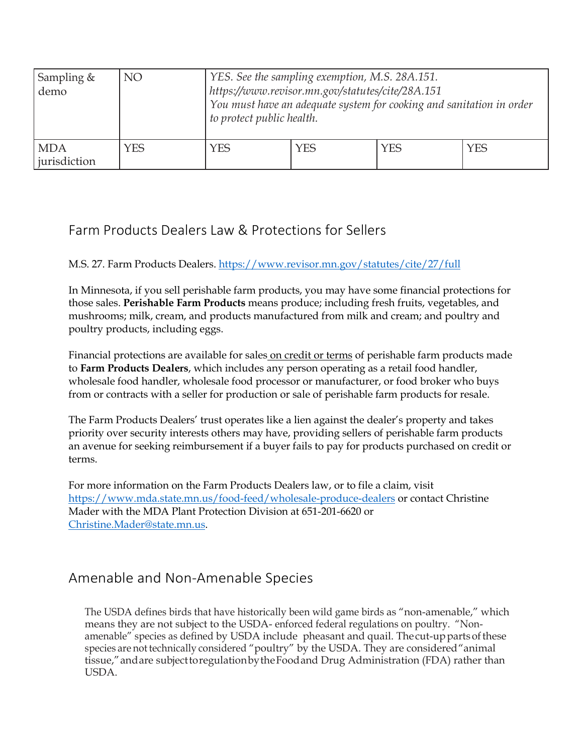| Sampling $&$<br>demo       | <b>NO</b>  | YES. See the sampling exemption, M.S. 28A.151.<br>https://www.revisor.mn.gov/statutes/cite/28A.151<br>You must have an adequate system for cooking and sanitation in order<br>to protect public health. |            |     |            |  |  |
|----------------------------|------------|---------------------------------------------------------------------------------------------------------------------------------------------------------------------------------------------------------|------------|-----|------------|--|--|
| <b>MDA</b><br>jurisdiction | <b>YES</b> | <b>YES</b>                                                                                                                                                                                              | <b>YES</b> | YES | <b>YES</b> |  |  |

### Farm Products Dealers Law & Protections for Sellers

### M.S. 27. Farm Products Dealers.<https://www.revisor.mn.gov/statutes/cite/27/full>

In Minnesota, if you sell perishable farm products, you may have some financial protections for those sales. **Perishable Farm Products** means produce; including fresh fruits, vegetables, and mushrooms; milk, cream, and products manufactured from milk and cream; and poultry and poultry products, including eggs.

Financial protections are available for sales on credit or terms of perishable farm products made to **Farm Products Dealers**, which includes any person operating as a retail food handler, wholesale food handler, wholesale food processor or manufacturer, or food broker who buys from or contracts with a seller for production or sale of perishable farm products for resale.

The Farm Products Dealers' trust operates like a lien against the dealer's property and takes priority over security interests others may have, providing sellers of perishable farm products an avenue for seeking reimbursement if a buyer fails to pay for products purchased on credit or terms.

For more information on the Farm Products Dealers law, or to file a claim, visit <https://www.mda.state.mn.us/food-feed/wholesale-produce-dealers>or contact Christine Mader with the MDA Plant Protection Division at 651-201-6620 or [Christine.Mader@state.mn.us.](mailto:Christine.Mader@state.mn.us)

### Amenable and Non-Amenable Species

The USDA defines birds that have historically been wild game birds as "non-amenable," which means they are not subject to the USDA- enforced federal regulations on poultry. "Nonamenable" species as defined by USDA include pheasant and quail. Thecut-up parts of these species are not technically considered "poultry" by the USDA. They are considered "animal tissue," and are subject to regulationby the Foodand Drug Administration (FDA) rather than USDA.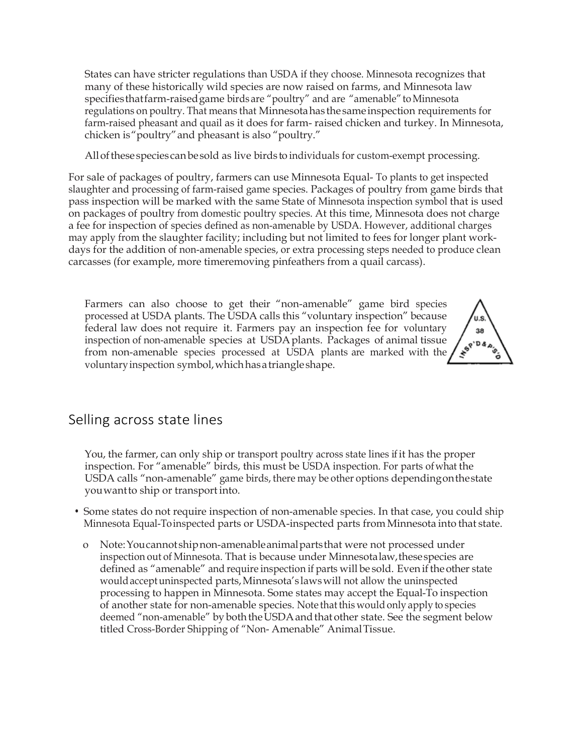States can have stricter regulations than USDA if they choose. Minnesota recognizes that many of these historically wild species are now raised on farms, and Minnesota law specifies that farm-raised game birds are "poultry" and are "amenable" to Minnesota regulations on poultry. That means that Minnesotahas thesameinspection requirements for farm-raised pheasant and quail as it does for farm- raised chicken and turkey. In Minnesota, chicken is"poultry"and pheasant is also "poultry."

All of these species can be sold as live birds to individuals for custom-exempt processing.

For sale of packages of poultry, farmers can use Minnesota Equal- To plants to get inspected slaughter and processing of farm-raised game species. Packages of poultry from game birds that pass inspection will be marked with the same State of Minnesota inspection symbol that is used on packages of poultry from domestic poultry species. At this time, Minnesota does not charge a fee for inspection of species defined as non-amenable by USDA. However, additional charges may apply from the slaughter facility; including but not limited to fees for longer plant workdays for the addition of non-amenable species, or extra processing steps needed to produce clean carcasses (for example, more timeremoving pinfeathers from a quail carcass).

Farmers can also choose to get their "non-amenable" game bird species processed at USDA plants. The USDA calls this "voluntary inspection" because federal law does not require it. Farmers pay an inspection fee for voluntary inspection of non-amenable species at USDAplants. Packages of animal tissue from non-amenable species processed at USDA plants are marked with the voluntaryinspection symbol,whichhasatriangleshape.



### Selling across state lines

You, the farmer, can only ship or transport poultry across state lines if it has the proper inspection. For "amenable" birds, this must be USDA inspection. For parts ofwhat the USDA calls "non-amenable" game birds, there may be other options dependingonthestate youwantto ship or transport into.

- Some states do not require inspection of non-amenable species. In that case, you could ship Minnesota Equal-Toinspected parts or USDA-inspected parts from Minnesota into that state.
	- o Note:Youcannot shipnon-amenableanimalpartsthat were not processed under inspection out of Minnesota. That is because under Minnesotalaw,thesespecies are defined as "amenable" and require inspection if parts will be sold. Even if the other state wouldacceptuninspected parts,Minnesota's lawswill not allow the uninspected processing to happen in Minnesota. Some states may accept the Equal-To inspection of another state for non-amenable species. Note thatthis wouldonly apply to species deemed "non-amenable" by both the USDA and that other state. See the segment below titled Cross-Border Shipping of "Non- Amenable" AnimalTissue.